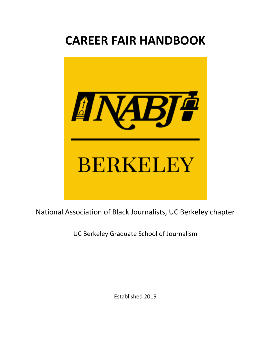# **CAREER FAIR HANDBOOK**



National Association of Black Journalists, UC Berkeley chapter

UC Berkeley Graduate School of Journalism

Established 2019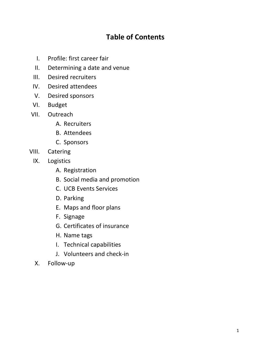#### **Table of Contents**

- I. Profile: first career fair
- II. Determining a date and venue
- III. Desired recruiters
- IV. Desired attendees
- V. Desired sponsors
- VI. Budget
- VII. Outreach
	- A. Recruiters
	- B. Attendees
	- C. Sponsors
- VIII. Catering
	- IX. Logistics
		- A. Registration
		- B. Social media and promotion
		- C. UCB Events Services
		- D. Parking
		- E. Maps and floor plans
		- F. Signage
		- G. Certificates of insurance
		- H. Name tags
		- I. Technical capabilities
		- J. Volunteers and check-in
	- X. Follow-up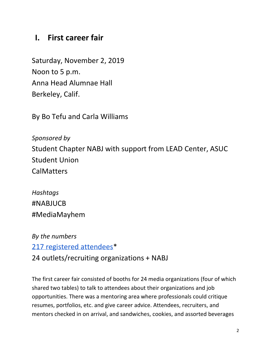# **I. First career fair**

Saturday, November 2, 2019 Noon to 5 p.m. Anna Head Alumnae Hall Berkeley, Calif.

By Bo Tefu and Carla Williams

*Sponsored by* Student Chapter NABJ with support from LEAD Center, ASUC Student Union **CalMatters** 

*Hashtags* #NABJUCB #MediaMayhem

*By the numbers* 217 registered attendees\*

24 outlets/recruiting organizations + NABJ

The first career fair consisted of booths for 24 media organizations (four of which shared two tables) to talk to attendees about their organizations and job opportunities. There was a mentoring area where professionals could critique resumes, portfolios, etc. and give career advice. Attendees, recruiters, and mentors checked in on arrival, and sandwiches, cookies, and assorted beverages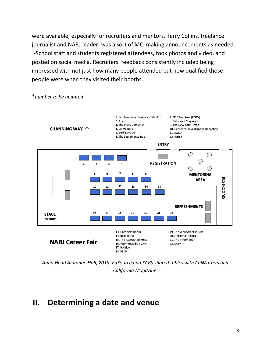were available, especially for recruiters and mentors. Terry Collins, freelance journalist and NABJ leader, was a sort of MC, making announcements as needed. J-School staff and students registered attendees, took photos and video, and posted on social media. Recruiters' feedback consistently included being impressed with not just how many people attended but how qualified those people were when they visited their booths.



\**number to be updated*

*Anna Head Alumnae Hall, 2019: EdSource and KCBS shared tables with CalMatters and California Magazine.*

#### **II. Determining a date and venue**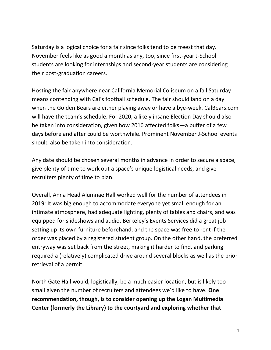Saturday is a logical choice for a fair since folks tend to be freest that day. November feels like as good a month as any, too, since first-year J-School students are looking for internships and second-year students are considering their post-graduation careers.

Hosting the fair anywhere near California Memorial Coliseum on a fall Saturday means contending with Cal's football schedule. The fair should land on a day when the Golden Bears are either playing away or have a bye-week. CalBears.com will have the team's schedule. For 2020, a likely insane Election Day should also be taken into consideration, given how 2016 affected folks—a buffer of a few days before and after could be worthwhile. Prominent November J-School events should also be taken into consideration.

Any date should be chosen several months in advance in order to secure a space, give plenty of time to work out a space's unique logistical needs, and give recruiters plenty of time to plan.

Overall, Anna Head Alumnae Hall worked well for the number of attendees in 2019: It was big enough to accommodate everyone yet small enough for an intimate atmosphere, had adequate lighting, plenty of tables and chairs, and was equipped for slideshows and audio. Berkeley's Events Services did a great job setting up its own furniture beforehand, and the space was free to rent if the order was placed by a registered student group. On the other hand, the preferred entryway was set back from the street, making it harder to find, and parking required a (relatively) complicated drive around several blocks as well as the prior retrieval of a permit.

North Gate Hall would, logistically, be a much easier location, but is likely too small given the number of recruiters and attendees we'd like to have. **One recommendation, though, is to consider opening up the Logan Multimedia Center (formerly the Library) to the courtyard and exploring whether that**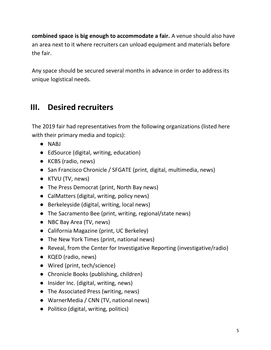**combined space is big enough to accommodate a fair.** A venue should also have an area next to it where recruiters can unload equipment and materials before the fair.

Any space should be secured several months in advance in order to address its unique logistical needs.

# **III. Desired recruiters**

The 2019 fair had representatives from the following organizations (listed here with their primary media and topics):

- NABJ
- EdSource (digital, writing, education)
- KCBS (radio, news)
- San Francisco Chronicle / SFGATE (print, digital, multimedia, news)
- KTVU (TV, news)
- The Press Democrat (print, North Bay news)
- CalMatters (digital, writing, policy news)
- Berkeleyside (digital, writing, local news)
- The Sacramento Bee (print, writing, regional/state news)
- NBC Bay Area (TV, news)
- California Magazine (print, UC Berkeley)
- The New York Times (print, national news)
- Reveal, from the Center for Investigative Reporting (investigative/radio)
- KQED (radio, news)
- Wired (print, tech/science)
- Chronicle Books (publishing, children)
- Insider Inc. (digital, writing, news)
- The Associated Press (writing, news)
- WarnerMedia / CNN (TV, national news)
- Politico (digital, writing, politics)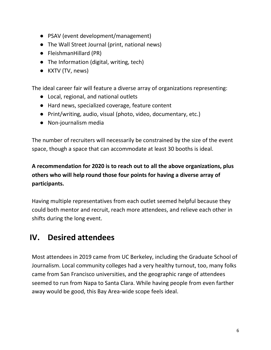- PSAV (event development/management)
- The Wall Street Journal (print, national news)
- FleishmanHillard (PR)
- The Information (digital, writing, tech)
- KXTV (TV, news)

The ideal career fair will feature a diverse array of organizations representing:

- Local, regional, and national outlets
- Hard news, specialized coverage, feature content
- Print/writing, audio, visual (photo, video, documentary, etc.)
- Non-journalism media

The number of recruiters will necessarily be constrained by the size of the event space, though a space that can accommodate at least 30 booths is ideal.

**A recommendation for 2020 is to reach out to all the above organizations, plus others who will help round those four points for having a diverse array of participants.**

Having multiple representatives from each outlet seemed helpful because they could both mentor and recruit, reach more attendees, and relieve each other in shifts during the long event.

# **IV. Desired attendees**

Most attendees in 2019 came from UC Berkeley, including the Graduate School of Journalism. Local community colleges had a very healthy turnout, too, many folks came from San Francisco universities, and the geographic range of attendees seemed to run from Napa to Santa Clara. While having people from even farther away would be good, this Bay Area-wide scope feels ideal.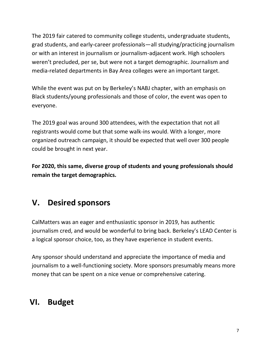The 2019 fair catered to community college students, undergraduate students, grad students, and early-career professionals—all studying/practicing journalism or with an interest in journalism or journalism-adjacent work. High schoolers weren't precluded, per se, but were not a target demographic. Journalism and media-related departments in Bay Area colleges were an important target.

While the event was put on by Berkeley's NABJ chapter, with an emphasis on Black students/young professionals and those of color, the event was open to everyone.

The 2019 goal was around 300 attendees, with the expectation that not all registrants would come but that some walk-ins would. With a longer, more organized outreach campaign, it should be expected that well over 300 people could be brought in next year.

**For 2020, this same, diverse group of students and young professionals should remain the target demographics.**

# **V. Desired sponsors**

CalMatters was an eager and enthusiastic sponsor in 2019, has authentic journalism cred, and would be wonderful to bring back. Berkeley's LEAD Center is a logical sponsor choice, too, as they have experience in student events.

Any sponsor should understand and appreciate the importance of media and journalism to a well-functioning society. More sponsors presumably means more money that can be spent on a nice venue or comprehensive catering.

# **VI. Budget**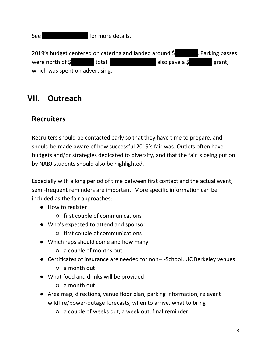See |||||||||||||||| for more details.

2019's budget centered on catering and landed around \$ . Parking passes were north of  $\oint$   $|$  total.  $|$  also gave a  $\oint$  grant, which was spent on advertising.

# **VII. Outreach**

#### **Recruiters**

Recruiters should be contacted early so that they have time to prepare, and should be made aware of how successful 2019's fair was. Outlets often have budgets and/or strategies dedicated to diversity, and that the fair is being put on by NABJ students should also be highlighted.

Especially with a long period of time between first contact and the actual event, semi-frequent reminders are important. More specific information can be included as the fair approaches:

- How to register
	- first couple of communications
- Who's expected to attend and sponsor
	- first couple of communications
- Which reps should come and how many
	- a couple of months out
- Certificates of insurance are needed for non-J-School, UC Berkeley venues
	- a month out
- What food and drinks will be provided
	- a month out
- Area map, directions, venue floor plan, parking information, relevant wildfire/power-outage forecasts, when to arrive, what to bring
	- a couple of weeks out, a week out, final reminder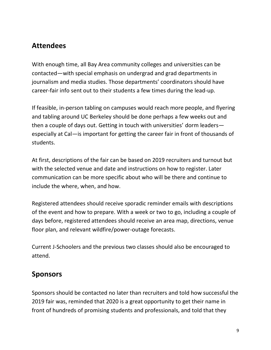#### **Attendees**

With enough time, all Bay Area community colleges and universities can be contacted—with special emphasis on undergrad and grad departments in journalism and media studies. Those departments' coordinators should have career-fair info sent out to their students a few times during the lead-up.

If feasible, in-person tabling on campuses would reach more people, and flyering and tabling around UC Berkeley should be done perhaps a few weeks out and then a couple of days out. Getting in touch with universities' dorm leaders especially at Cal—is important for getting the career fair in front of thousands of students.

At first, descriptions of the fair can be based on 2019 recruiters and turnout but with the selected venue and date and instructions on how to register. Later communication can be more specific about who will be there and continue to include the where, when, and how.

Registered attendees should receive sporadic reminder emails with descriptions of the event and how to prepare. With a week or two to go, including a couple of days before, registered attendees should receive an area map, directions, venue floor plan, and relevant wildfire/power-outage forecasts.

Current J-Schoolers and the previous two classes should also be encouraged to attend.

#### **Sponsors**

Sponsors should be contacted no later than recruiters and told how successful the 2019 fair was, reminded that 2020 is a great opportunity to get their name in front of hundreds of promising students and professionals, and told that they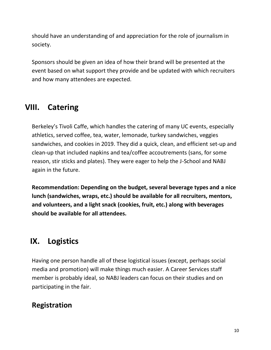should have an understanding of and appreciation for the role of journalism in society.

Sponsors should be given an idea of how their brand will be presented at the event based on what support they provide and be updated with which recruiters and how many attendees are expected.

## **VIII. Catering**

Berkeley's Tivoli Caffe, which handles the catering of many UC events, especially athletics, served coffee, tea, water, lemonade, turkey sandwiches, veggies sandwiches, and cookies in 2019. They did a quick, clean, and efficient set-up and clean-up that included napkins and tea/coffee accoutrements (sans, for some reason, stir sticks and plates). They were eager to help the J-School and NABJ again in the future.

**Recommendation: Depending on the budget, several beverage types and a nice lunch (sandwiches, wraps, etc.) should be available for all recruiters, mentors, and volunteers, and a light snack (cookies, fruit, etc.) along with beverages should be available for all attendees.**

# **IX. Logistics**

Having one person handle all of these logistical issues (except, perhaps social media and promotion) will make things much easier. A Career Services staff member is probably ideal, so NABJ leaders can focus on their studies and on participating in the fair.

## **Registration**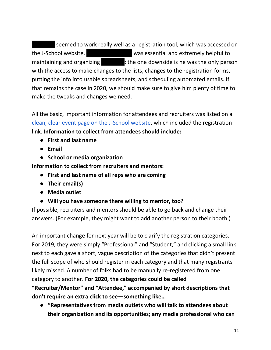seemed to work really well as a registration tool, which was accessed on the J-School website. The same was essential and extremely helpful to maintaining and organizing  $|$  ; the one downside is he was the only person with the access to make changes to the lists, changes to the registration forms, putting the info into usable spreadsheets, and scheduling automated emails. If that remains the case in 2020, we should make sure to give him plenty of time to make the tweaks and changes we need.

All the basic, important information for attendees and recruiters was listed on a [clean, clear event page on the J-School website,](https://journalism.berkeley.edu/national-association-of-black-journalists-at-uc-berkeley-career-fair-saturday-november-2/) which included the registration link. **Information to collect from attendees should include:**

- **First and last name**
- **Email**
- **School or media organization**

**Information to collect from recruiters and mentors:**

- **First and last name of all reps who are coming**
- **Their email(s)**
- **Media outlet**
- **Will you have someone there willing to mentor, too?**

If possible, recruiters and mentors should be able to go back and change their answers. (For example, they might want to add another person to their booth.)

An important change for next year will be to clarify the registration categories. For 2019, they were simply "Professional" and "Student," and clicking a small link next to each gave a short, vague description of the categories that didn't present the full scope of who should register in each category and that many registrants likely missed. A number of folks had to be manually re-registered from one category to another. **For 2020, the categories could be called "Recruiter/Mentor" and "Attendee," accompanied by short descriptions that** 

**don't require an extra click to see—something like…**

● **"Representatives from media outlets who will talk to attendees about their organization and its opportunities; any media professional who can**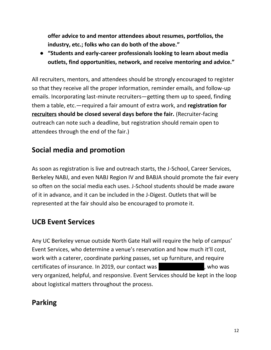**offer advice to and mentor attendees about resumes, portfolios, the industry, etc.; folks who can do both of the above."**

● **"Students and early-career professionals looking to learn about media outlets, find opportunities, network, and receive mentoring and advice."**

All recruiters, mentors, and attendees should be strongly encouraged to register so that they receive all the proper information, reminder emails, and follow-up emails. Incorporating last-minute recruiters—getting them up to speed, finding them a table, etc.—required a fair amount of extra work, and **registration for recruiters should be closed several days before the fair.** (Recruiter-facing outreach can note such a deadline, but registration should remain open to attendees through the end of the fair.)

#### **Social media and promotion**

As soon as registration is live and outreach starts, the J-School, Career Services, Berkeley NABJ, and even NABJ Region IV and BABJA should promote the fair every so often on the social media each uses. J-School students should be made aware of it in advance, and it can be included in the J-Digest. Outlets that will be represented at the fair should also be encouraged to promote it.

#### **UCB Event Services**

Any UC Berkeley venue outside North Gate Hall will require the help of campus' Event Services, who determine a venue's reservation and how much it'll cost, work with a caterer, coordinate parking passes, set up furniture, and require certificates of insurance. In 2019, our contact was  $\qquad \qquad$ , who was very organized, helpful, and responsive. Event Services should be kept in the loop about logistical matters throughout the process.

# **Parking**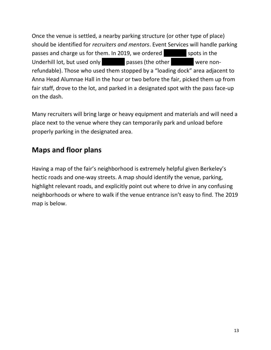Once the venue is settled, a nearby parking structure (or other type of place) should be identified for *recruiters and mentors*. Event Services will handle parking passes and charge us for them. In 2019, we ordered spots in the Underhill lot, but used only **interprettive in the other interprettive were non**refundable). Those who used them stopped by a "loading dock" area adjacent to Anna Head Alumnae Hall in the hour or two before the fair, picked them up from fair staff, drove to the lot, and parked in a designated spot with the pass face-up on the dash.

Many recruiters will bring large or heavy equipment and materials and will need a place next to the venue where they can temporarily park and unload before properly parking in the designated area.

#### **Maps and floor plans**

Having a map of the fair's neighborhood is extremely helpful given Berkeley's hectic roads and one-way streets. A map should identify the venue, parking, highlight relevant roads, and explicitly point out where to drive in any confusing neighborhoods or where to walk if the venue entrance isn't easy to find. The 2019 map is below.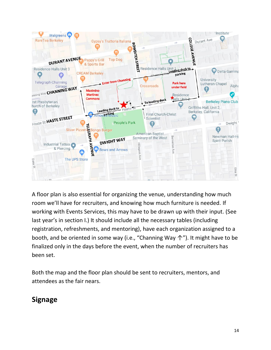

A floor plan is also essential for organizing the venue, understanding how much room we'll have for recruiters, and knowing how much furniture is needed. If working with Events Services, this may have to be drawn up with their input. (See last year's in section I.) It should include all the necessary tables (including registration, refreshments, and mentoring), have each organization assigned to a booth, and be oriented in some way (i.e., "Channing Way ↑"). It might have to be finalized only in the days before the event, when the number of recruiters has been set.

Both the map and the floor plan should be sent to recruiters, mentors, and attendees as the fair nears.

## **Signage**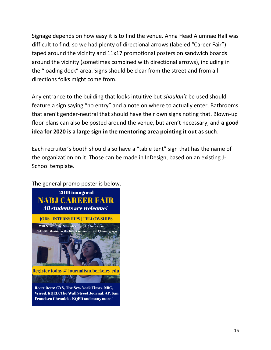Signage depends on how easy it is to find the venue. Anna Head Alumnae Hall was difficult to find, so we had plenty of directional arrows (labeled "Career Fair") taped around the vicinity and 11x17 promotional posters on sandwich boards around the vicinity (sometimes combined with directional arrows), including in the "loading dock" area. Signs should be clear from the street and from all directions folks might come from.

Any entrance to the building that looks intuitive but *shouldn't* be used should feature a sign saying "no entry" and a note on where to actually enter. Bathrooms that aren't gender-neutral that should have their own signs noting that. Blown-up floor plans can also be posted around the venue, but aren't necessary, and **a good idea for 2020 is a large sign in the mentoring area pointing it out as such**.

Each recruiter's booth should also have a "table tent" sign that has the name of the organization on it. Those can be made in InDesign, based on an existing J-School template.



The general promo poster is below.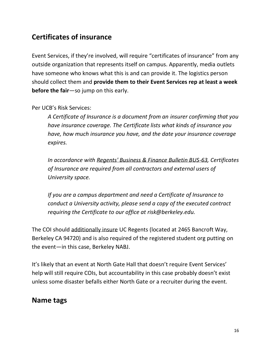#### **Certificates of insurance**

Event Services, if they're involved, will require "certificates of insurance" from any outside organization that represents itself on campus. Apparently, media outlets have someone who knows what this is and can provide it. The logistics person should collect them and **provide them to their Event Services rep at least a week before the fair**—so jump on this early.

#### Per UCB's Risk Services:

*A Certificate of Insurance is a document from an insurer confirming that you have insurance coverage. The Certificate lists what kinds of insurance you have, how much insurance you have, and the date your insurance coverage expires.*

*In accordance with [Regents' Business & Finance Bulletin BUS-63,](http://policy.ucop.edu/doc/3520339) Certificates of Insurance are required from all contractors and external users of University space.* 

*If you are a campus department and need a Certificate of Insurance to conduct a University activity, please send a copy of the executed contract requiring the Certificate to our office at risk@berkeley.edu.*

The COI should additionally insure UC Regents (located at 2465 Bancroft Way, Berkeley CA 94720) and is also required of the registered student org putting on the event—in this case, Berkeley NABJ.

It's likely that an event at North Gate Hall that doesn't require Event Services' help will still require COIs, but accountability in this case probably doesn't exist unless some disaster befalls either North Gate or a recruiter during the event.

#### **Name tags**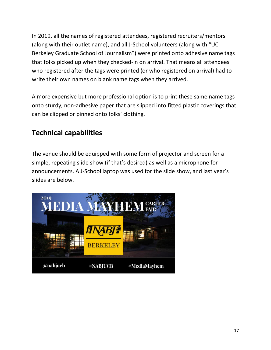In 2019, all the names of registered attendees, registered recruiters/mentors (along with their outlet name), and all J-School volunteers (along with "UC Berkeley Graduate School of Journalism") were printed onto adhesive name tags that folks picked up when they checked-in on arrival. That means all attendees who registered after the tags were printed (or who registered on arrival) had to write their own names on blank name tags when they arrived.

A more expensive but more professional option is to print these same name tags onto sturdy, non-adhesive paper that are slipped into fitted plastic coverings that can be clipped or pinned onto folks' clothing.

#### **Technical capabilities**

The venue should be equipped with some form of projector and screen for a simple, repeating slide show (if that's desired) as well as a microphone for announcements. A J-School laptop was used for the slide show, and last year's slides are below.

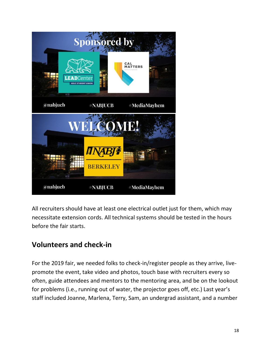

All recruiters should have at least one electrical outlet just for them, which may necessitate extension cords. All technical systems should be tested in the hours before the fair starts.

#### **Volunteers and check-in**

For the 2019 fair, we needed folks to check-in/register people as they arrive, livepromote the event, take video and photos, touch base with recruiters every so often, guide attendees and mentors to the mentoring area, and be on the lookout for problems (i.e., running out of water, the projector goes off, etc.) Last year's staff included Joanne, Marlena, Terry, Sam, an undergrad assistant, and a number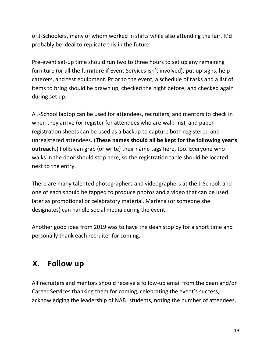of J-Schoolers, many of whom worked in shifts while also attending the fair. It'd probably be ideal to replicate this in the future.

Pre-event set-up time should run two to three hours to set up any remaining furniture (or all the furniture if Event Services isn't involved), put up signs, help caterers, and test equipment. Prior to the event, a schedule of tasks and a list of items to bring should be drawn up, checked the night before, and checked again during set up.

A J-School laptop can be used for attendees, recruiters, and mentors to check in when they arrive (or register for attendees who are walk-ins), and paper registration sheets can be used as a backup to capture both registered and unregistered attendees. (**These names should all be kept for the following year's outreach.**) Folks can grab (or write) their name tags here, too. Everyone who walks in the door should stop here, so the registration table should be located next to the entry.

There are many talented photographers and videographers at the J-School, and one of each should be tapped to produce photos and a video that can be used later as promotional or celebratory material. Marlena (or someone she designates) can handle social media during the event.

Another good idea from 2019 was to have the dean stop by for a short time and personally thank each recruiter for coming.

# **X. Follow up**

All recruiters and mentors should receive a follow-up email from the dean and/or Career Services thanking them for coming, celebrating the event's success, acknowledging the leadership of NABJ students, noting the number of attendees,